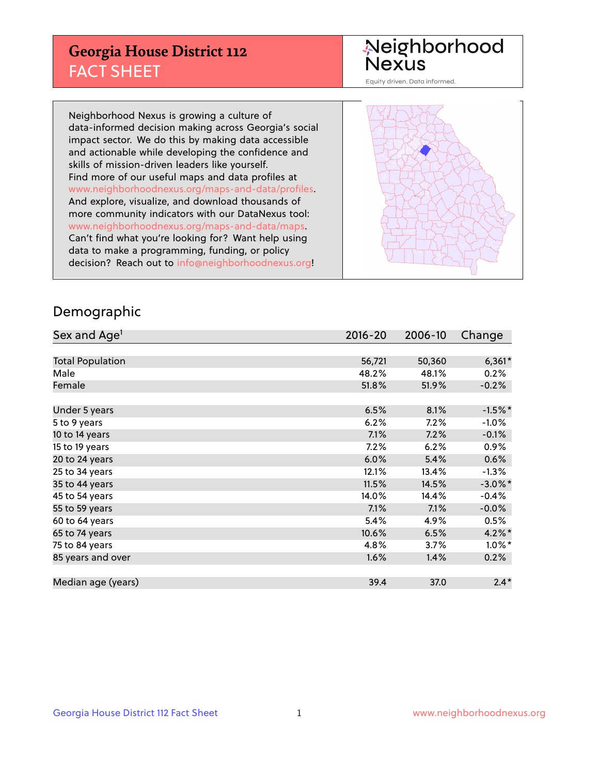## **Georgia House District 112** FACT SHEET

# Neighborhood<br>Nexus

Equity driven. Data informed.

Neighborhood Nexus is growing a culture of data-informed decision making across Georgia's social impact sector. We do this by making data accessible and actionable while developing the confidence and skills of mission-driven leaders like yourself. Find more of our useful maps and data profiles at www.neighborhoodnexus.org/maps-and-data/profiles. And explore, visualize, and download thousands of more community indicators with our DataNexus tool: www.neighborhoodnexus.org/maps-and-data/maps. Can't find what you're looking for? Want help using data to make a programming, funding, or policy decision? Reach out to [info@neighborhoodnexus.org!](mailto:info@neighborhoodnexus.org)



### Demographic

| Sex and Age <sup>1</sup> | $2016 - 20$ | 2006-10 | Change     |
|--------------------------|-------------|---------|------------|
|                          |             |         |            |
| <b>Total Population</b>  | 56,721      | 50,360  | $6,361*$   |
| Male                     | 48.2%       | 48.1%   | 0.2%       |
| Female                   | 51.8%       | 51.9%   | $-0.2%$    |
|                          |             |         |            |
| Under 5 years            | 6.5%        | 8.1%    | $-1.5%$ *  |
| 5 to 9 years             | 6.2%        | 7.2%    | $-1.0%$    |
| 10 to 14 years           | 7.1%        | 7.2%    | $-0.1%$    |
| 15 to 19 years           | 7.2%        | 6.2%    | 0.9%       |
| 20 to 24 years           | 6.0%        | 5.4%    | 0.6%       |
| 25 to 34 years           | 12.1%       | 13.4%   | $-1.3%$    |
| 35 to 44 years           | 11.5%       | 14.5%   | $-3.0\%$ * |
| 45 to 54 years           | 14.0%       | 14.4%   | $-0.4%$    |
| 55 to 59 years           | 7.1%        | 7.1%    | $-0.0%$    |
| 60 to 64 years           | 5.4%        | 4.9%    | 0.5%       |
| 65 to 74 years           | 10.6%       | 6.5%    | $4.2\%$ *  |
| 75 to 84 years           | 4.8%        | 3.7%    | $1.0\%$ *  |
| 85 years and over        | 1.6%        | 1.4%    | 0.2%       |
|                          |             |         |            |
| Median age (years)       | 39.4        | 37.0    | $2.4*$     |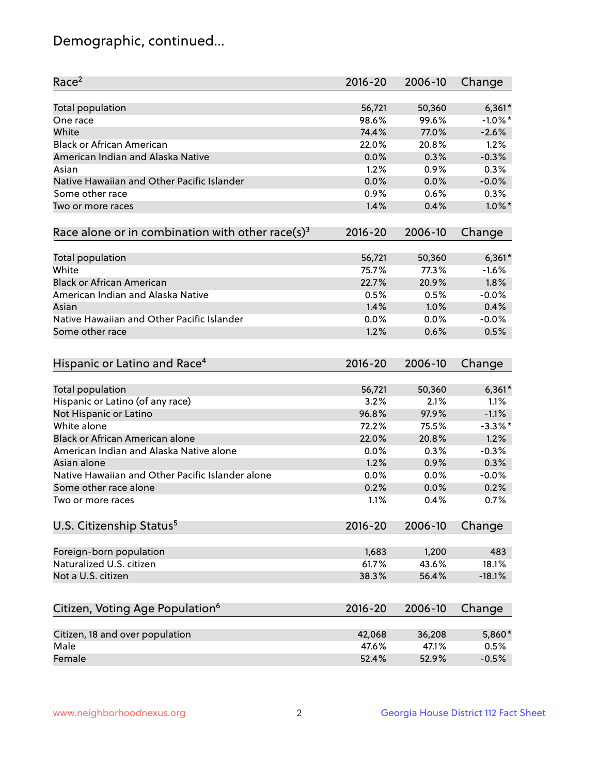## Demographic, continued...

| Race <sup>2</sup>                                            | $2016 - 20$ | 2006-10         | Change     |
|--------------------------------------------------------------|-------------|-----------------|------------|
| <b>Total population</b>                                      | 56,721      | 50,360          | $6,361*$   |
| One race                                                     | 98.6%       | 99.6%           | $-1.0\%$ * |
| White                                                        | 74.4%       | 77.0%           | $-2.6%$    |
| <b>Black or African American</b>                             | 22.0%       | 20.8%           | 1.2%       |
| American Indian and Alaska Native                            | 0.0%        | 0.3%            | $-0.3%$    |
| Asian                                                        | 1.2%        | 0.9%            | 0.3%       |
| Native Hawaiian and Other Pacific Islander                   | 0.0%        | 0.0%            | $-0.0%$    |
| Some other race                                              | 0.9%        | 0.6%            | 0.3%       |
| Two or more races                                            | 1.4%        | 0.4%            | $1.0\%$ *  |
| Race alone or in combination with other race(s) <sup>3</sup> | $2016 - 20$ | 2006-10         | Change     |
|                                                              |             |                 |            |
| Total population                                             | 56,721      | 50,360<br>77.3% | $6,361*$   |
| White                                                        | 75.7%       |                 | $-1.6%$    |
| <b>Black or African American</b>                             | 22.7%       | 20.9%           | 1.8%       |
| American Indian and Alaska Native                            | 0.5%        | 0.5%            | $-0.0%$    |
| Asian                                                        | 1.4%        | 1.0%            | 0.4%       |
| Native Hawaiian and Other Pacific Islander                   | 0.0%        | 0.0%            | $-0.0%$    |
| Some other race                                              | 1.2%        | 0.6%            | 0.5%       |
| Hispanic or Latino and Race <sup>4</sup>                     | $2016 - 20$ | 2006-10         | Change     |
| Total population                                             | 56,721      | 50,360          | $6,361*$   |
| Hispanic or Latino (of any race)                             | 3.2%        | 2.1%            | 1.1%       |
| Not Hispanic or Latino                                       | 96.8%       | 97.9%           | $-1.1%$    |
| White alone                                                  | 72.2%       | 75.5%           | $-3.3\%$ * |
| Black or African American alone                              | 22.0%       | 20.8%           | 1.2%       |
| American Indian and Alaska Native alone                      | 0.0%        | 0.3%            | $-0.3%$    |
| Asian alone                                                  | 1.2%        | 0.9%            | 0.3%       |
| Native Hawaiian and Other Pacific Islander alone             | $0.0\%$     | 0.0%            | $-0.0%$    |
| Some other race alone                                        | 0.2%        | 0.0%            | 0.2%       |
| Two or more races                                            | 1.1%        | 0.4%            | 0.7%       |
|                                                              |             |                 |            |
| U.S. Citizenship Status <sup>5</sup>                         | 2016-20     | 2006-10         | Change     |
| Foreign-born population                                      | 1,683       | 1,200           | 483        |
| Naturalized U.S. citizen                                     | 61.7%       | 43.6%           | 18.1%      |
| Not a U.S. citizen                                           | 38.3%       | 56.4%           | $-18.1%$   |
|                                                              |             |                 |            |
| Citizen, Voting Age Population <sup>6</sup>                  | $2016 - 20$ | 2006-10         | Change     |
| Citizen, 18 and over population                              | 42,068      | 36,208          | 5,860*     |
| Male                                                         | 47.6%       | 47.1%           | 0.5%       |
| Female                                                       | 52.4%       | 52.9%           | $-0.5%$    |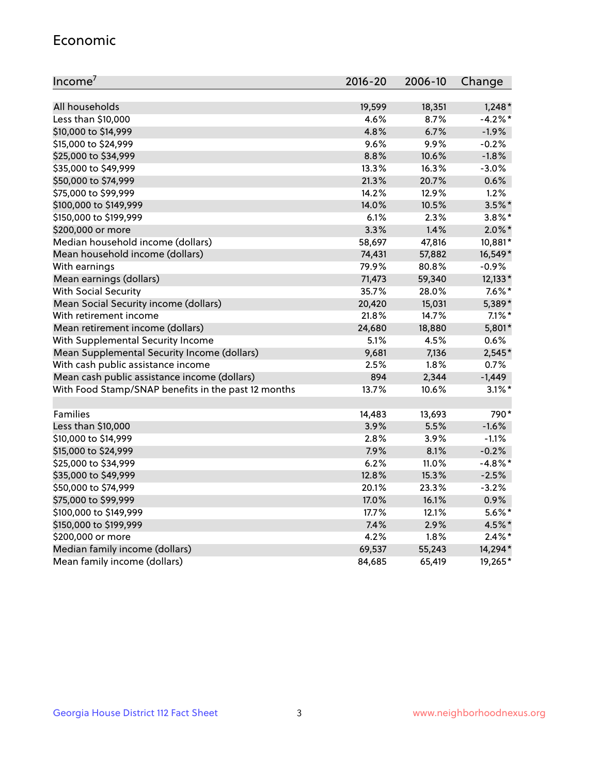#### Economic

| Income <sup>7</sup>                                 | $2016 - 20$ | 2006-10 | Change     |
|-----------------------------------------------------|-------------|---------|------------|
|                                                     |             |         |            |
| All households                                      | 19,599      | 18,351  | $1,248*$   |
| Less than \$10,000                                  | 4.6%        | 8.7%    | $-4.2%$ *  |
| \$10,000 to \$14,999                                | 4.8%        | 6.7%    | $-1.9%$    |
| \$15,000 to \$24,999                                | 9.6%        | 9.9%    | $-0.2%$    |
| \$25,000 to \$34,999                                | 8.8%        | 10.6%   | $-1.8%$    |
| \$35,000 to \$49,999                                | 13.3%       | 16.3%   | $-3.0%$    |
| \$50,000 to \$74,999                                | 21.3%       | 20.7%   | 0.6%       |
| \$75,000 to \$99,999                                | 14.2%       | 12.9%   | 1.2%       |
| \$100,000 to \$149,999                              | 14.0%       | 10.5%   | $3.5%$ *   |
| \$150,000 to \$199,999                              | 6.1%        | 2.3%    | $3.8\%$ *  |
| \$200,000 or more                                   | 3.3%        | 1.4%    | $2.0\%$ *  |
| Median household income (dollars)                   | 58,697      | 47,816  | 10,881*    |
| Mean household income (dollars)                     | 74,431      | 57,882  | 16,549*    |
| With earnings                                       | 79.9%       | 80.8%   | $-0.9%$    |
| Mean earnings (dollars)                             | 71,473      | 59,340  | 12,133*    |
| <b>With Social Security</b>                         | 35.7%       | 28.0%   | $7.6\%$ *  |
| Mean Social Security income (dollars)               | 20,420      | 15,031  | 5,389*     |
| With retirement income                              | 21.8%       | 14.7%   | $7.1\%$ *  |
| Mean retirement income (dollars)                    | 24,680      | 18,880  | 5,801*     |
| With Supplemental Security Income                   | $5.1\%$     | 4.5%    | 0.6%       |
| Mean Supplemental Security Income (dollars)         | 9,681       | 7,136   | 2,545*     |
| With cash public assistance income                  | 2.5%        | 1.8%    | 0.7%       |
| Mean cash public assistance income (dollars)        | 894         | 2,344   | $-1,449$   |
| With Food Stamp/SNAP benefits in the past 12 months | 13.7%       | 10.6%   | $3.1\%$ *  |
|                                                     |             |         |            |
| Families                                            | 14,483      | 13,693  | 790*       |
| Less than \$10,000                                  | 3.9%        | 5.5%    | $-1.6%$    |
| \$10,000 to \$14,999                                | 2.8%        | 3.9%    | $-1.1%$    |
| \$15,000 to \$24,999                                | 7.9%        | 8.1%    | $-0.2%$    |
| \$25,000 to \$34,999                                | 6.2%        | 11.0%   | $-4.8\%$ * |
| \$35,000 to \$49,999                                | 12.8%       | 15.3%   | $-2.5%$    |
| \$50,000 to \$74,999                                | 20.1%       | 23.3%   | $-3.2%$    |
| \$75,000 to \$99,999                                | 17.0%       | 16.1%   | 0.9%       |
| \$100,000 to \$149,999                              | 17.7%       | 12.1%   | $5.6\%$ *  |
| \$150,000 to \$199,999                              | 7.4%        | 2.9%    | 4.5%*      |
| \$200,000 or more                                   | 4.2%        | 1.8%    | $2.4\%$ *  |
| Median family income (dollars)                      | 69,537      | 55,243  | 14,294*    |
| Mean family income (dollars)                        | 84,685      | 65,419  | 19,265*    |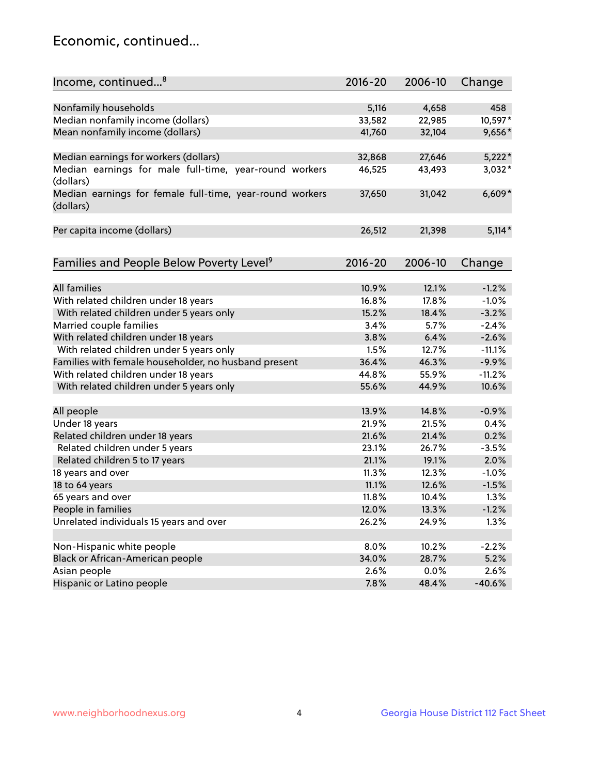## Economic, continued...

| Income, continued <sup>8</sup>                           | $2016 - 20$ | 2006-10 | Change   |
|----------------------------------------------------------|-------------|---------|----------|
|                                                          | 5,116       | 4,658   | 458      |
| Nonfamily households                                     |             |         |          |
| Median nonfamily income (dollars)                        | 33,582      | 22,985  | 10,597*  |
| Mean nonfamily income (dollars)                          | 41,760      | 32,104  | 9,656*   |
| Median earnings for workers (dollars)                    | 32,868      | 27,646  | $5,222*$ |
| Median earnings for male full-time, year-round workers   | 46,525      | 43,493  | $3,032*$ |
| (dollars)                                                |             |         |          |
| Median earnings for female full-time, year-round workers | 37,650      | 31,042  | $6,609*$ |
| (dollars)                                                |             |         |          |
|                                                          |             |         |          |
| Per capita income (dollars)                              | 26,512      | 21,398  | $5,114*$ |
|                                                          |             |         |          |
| Families and People Below Poverty Level <sup>9</sup>     | $2016 - 20$ | 2006-10 | Change   |
|                                                          |             |         |          |
| <b>All families</b>                                      | 10.9%       | 12.1%   | $-1.2%$  |
| With related children under 18 years                     | 16.8%       | 17.8%   | $-1.0%$  |
| With related children under 5 years only                 | 15.2%       | 18.4%   | $-3.2%$  |
| Married couple families                                  | 3.4%        | 5.7%    | $-2.4%$  |
| With related children under 18 years                     | 3.8%        | 6.4%    | $-2.6%$  |
| With related children under 5 years only                 | 1.5%        | 12.7%   | $-11.1%$ |
| Families with female householder, no husband present     | 36.4%       | 46.3%   | $-9.9%$  |
| With related children under 18 years                     | 44.8%       | 55.9%   | $-11.2%$ |
| With related children under 5 years only                 | 55.6%       | 44.9%   | 10.6%    |
|                                                          |             |         |          |
| All people                                               | 13.9%       | 14.8%   | $-0.9%$  |
| Under 18 years                                           | 21.9%       | 21.5%   | 0.4%     |
| Related children under 18 years                          | 21.6%       | 21.4%   | 0.2%     |
| Related children under 5 years                           | 23.1%       | 26.7%   | $-3.5%$  |
| Related children 5 to 17 years                           | 21.1%       | 19.1%   | 2.0%     |
| 18 years and over                                        | 11.3%       | 12.3%   | $-1.0%$  |
| 18 to 64 years                                           | 11.1%       | 12.6%   | $-1.5%$  |
| 65 years and over                                        | 11.8%       | 10.4%   | 1.3%     |
| People in families                                       | 12.0%       | 13.3%   | $-1.2%$  |
| Unrelated individuals 15 years and over                  | 26.2%       | 24.9%   | 1.3%     |
|                                                          |             |         |          |
| Non-Hispanic white people                                | 8.0%        | 10.2%   | $-2.2%$  |
| Black or African-American people                         | 34.0%       | 28.7%   | 5.2%     |
| Asian people                                             | 2.6%        | 0.0%    | 2.6%     |
| Hispanic or Latino people                                | 7.8%        | 48.4%   | $-40.6%$ |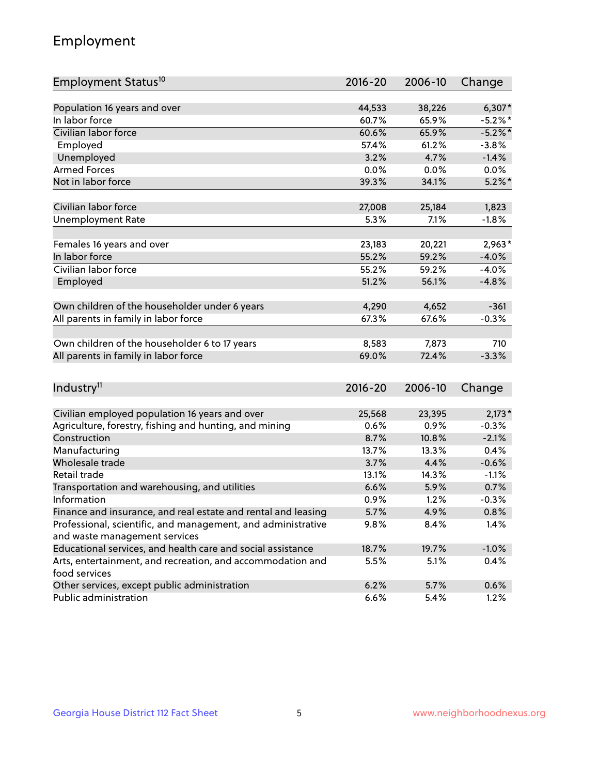## Employment

| Employment Status <sup>10</sup>                                             | $2016 - 20$ | 2006-10 | Change     |
|-----------------------------------------------------------------------------|-------------|---------|------------|
|                                                                             |             |         |            |
| Population 16 years and over<br>In labor force                              | 44,533      | 38,226  | $6,307*$   |
| Civilian labor force                                                        | 60.7%       | 65.9%   | $-5.2\%$ * |
|                                                                             | 60.6%       | 65.9%   | $-5.2%$ *  |
| Employed                                                                    | 57.4%       | 61.2%   | $-3.8%$    |
| Unemployed                                                                  | 3.2%        | 4.7%    | $-1.4%$    |
| <b>Armed Forces</b>                                                         | 0.0%        | 0.0%    | $0.0\%$    |
| Not in labor force                                                          | 39.3%       | 34.1%   | $5.2\%$ *  |
| Civilian labor force                                                        | 27,008      | 25,184  | 1,823      |
| <b>Unemployment Rate</b>                                                    | 5.3%        | 7.1%    | $-1.8%$    |
|                                                                             |             |         |            |
| Females 16 years and over                                                   | 23,183      | 20,221  | $2,963*$   |
| In labor force                                                              | 55.2%       | 59.2%   | $-4.0%$    |
| Civilian labor force                                                        | 55.2%       | 59.2%   | $-4.0%$    |
| Employed                                                                    | 51.2%       | 56.1%   | $-4.8%$    |
| Own children of the householder under 6 years                               | 4,290       | 4,652   | $-361$     |
| All parents in family in labor force                                        | 67.3%       | 67.6%   | $-0.3%$    |
|                                                                             |             |         |            |
| Own children of the householder 6 to 17 years                               | 8,583       | 7,873   | 710        |
| All parents in family in labor force                                        | 69.0%       | 72.4%   | $-3.3%$    |
|                                                                             |             |         |            |
| Industry <sup>11</sup>                                                      | $2016 - 20$ | 2006-10 | Change     |
|                                                                             |             |         |            |
| Civilian employed population 16 years and over                              | 25,568      | 23,395  | $2,173*$   |
| Agriculture, forestry, fishing and hunting, and mining                      | 0.6%        | 0.9%    | $-0.3%$    |
| Construction                                                                | 8.7%        | 10.8%   | $-2.1%$    |
| Manufacturing                                                               | 13.7%       | 13.3%   | 0.4%       |
| Wholesale trade                                                             | 3.7%        | 4.4%    | $-0.6%$    |
| Retail trade                                                                | 13.1%       | 14.3%   | $-1.1%$    |
| Transportation and warehousing, and utilities                               | 6.6%        | 5.9%    | 0.7%       |
| Information                                                                 | 0.9%        | 1.2%    | $-0.3%$    |
| Finance and insurance, and real estate and rental and leasing               | 5.7%        | 4.9%    | 0.8%       |
| Professional, scientific, and management, and administrative                | 9.8%        | 8.4%    | 1.4%       |
| and waste management services                                               |             |         |            |
| Educational services, and health care and social assistance                 | 18.7%       | 19.7%   | $-1.0%$    |
| Arts, entertainment, and recreation, and accommodation and<br>food services | 5.5%        | 5.1%    | 0.4%       |
| Other services, except public administration                                | 6.2%        | 5.7%    | 0.6%       |
| Public administration                                                       | 6.6%        | 5.4%    | 1.2%       |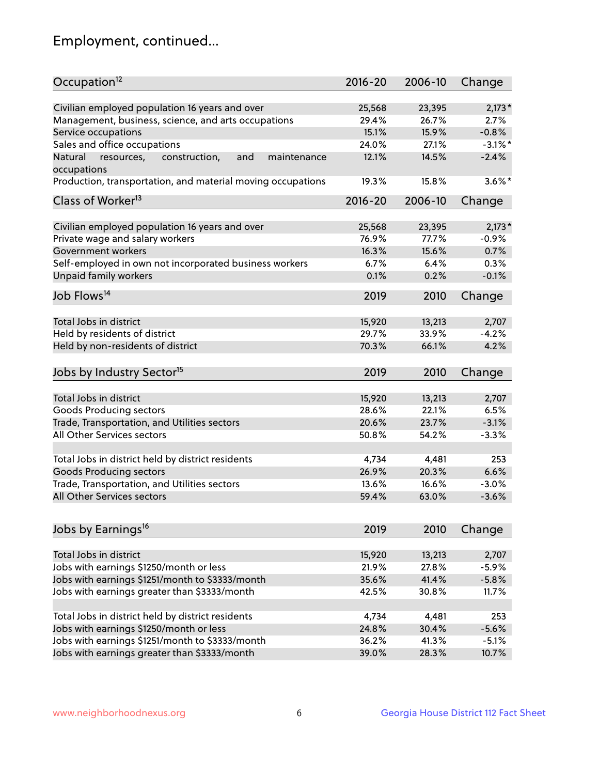## Employment, continued...

| Occupation <sup>12</sup>                                     | $2016 - 20$ | 2006-10 | Change     |
|--------------------------------------------------------------|-------------|---------|------------|
| Civilian employed population 16 years and over               | 25,568      | 23,395  | $2,173*$   |
| Management, business, science, and arts occupations          | 29.4%       | 26.7%   | 2.7%       |
| Service occupations                                          | 15.1%       | 15.9%   | $-0.8%$    |
| Sales and office occupations                                 | 24.0%       | 27.1%   | $-3.1\%$ * |
| Natural<br>and<br>resources,<br>construction,<br>maintenance | 12.1%       | 14.5%   | $-2.4%$    |
| occupations                                                  |             |         |            |
| Production, transportation, and material moving occupations  | 19.3%       | 15.8%   | $3.6\%$ *  |
| Class of Worker <sup>13</sup>                                | $2016 - 20$ | 2006-10 | Change     |
|                                                              |             |         |            |
| Civilian employed population 16 years and over               | 25,568      | 23,395  | $2,173*$   |
| Private wage and salary workers                              | 76.9%       | 77.7%   | $-0.9%$    |
| Government workers                                           | 16.3%       | 15.6%   | 0.7%       |
| Self-employed in own not incorporated business workers       | 6.7%        | 6.4%    | 0.3%       |
| Unpaid family workers                                        | 0.1%        | 0.2%    | $-0.1%$    |
| Job Flows <sup>14</sup>                                      | 2019        | 2010    | Change     |
|                                                              |             |         |            |
| Total Jobs in district                                       | 15,920      | 13,213  | 2,707      |
| Held by residents of district                                | 29.7%       | 33.9%   | $-4.2%$    |
| Held by non-residents of district                            | 70.3%       | 66.1%   | 4.2%       |
| Jobs by Industry Sector <sup>15</sup>                        | 2019        | 2010    | Change     |
|                                                              |             |         |            |
| Total Jobs in district                                       | 15,920      | 13,213  | 2,707      |
| Goods Producing sectors                                      | 28.6%       | 22.1%   | 6.5%       |
| Trade, Transportation, and Utilities sectors                 | 20.6%       | 23.7%   | $-3.1%$    |
| All Other Services sectors                                   | 50.8%       | 54.2%   | $-3.3%$    |
| Total Jobs in district held by district residents            | 4,734       | 4,481   | 253        |
|                                                              |             | 20.3%   |            |
| <b>Goods Producing sectors</b>                               | 26.9%       |         | 6.6%       |
| Trade, Transportation, and Utilities sectors                 | 13.6%       | 16.6%   | $-3.0%$    |
| All Other Services sectors                                   | 59.4%       | 63.0%   | $-3.6%$    |
| Jobs by Earnings <sup>16</sup>                               | 2019        | 2010    | Change     |
|                                                              |             |         |            |
| Total Jobs in district                                       | 15,920      | 13,213  | 2,707      |
| Jobs with earnings \$1250/month or less                      | 21.9%       | 27.8%   | $-5.9%$    |
| Jobs with earnings \$1251/month to \$3333/month              | 35.6%       | 41.4%   | $-5.8%$    |
| Jobs with earnings greater than \$3333/month                 | 42.5%       | 30.8%   | 11.7%      |
|                                                              |             |         |            |
| Total Jobs in district held by district residents            | 4,734       | 4,481   | 253        |
| Jobs with earnings \$1250/month or less                      | 24.8%       | 30.4%   | $-5.6%$    |
| Jobs with earnings \$1251/month to \$3333/month              | 36.2%       | 41.3%   | $-5.1%$    |
| Jobs with earnings greater than \$3333/month                 | 39.0%       | 28.3%   | 10.7%      |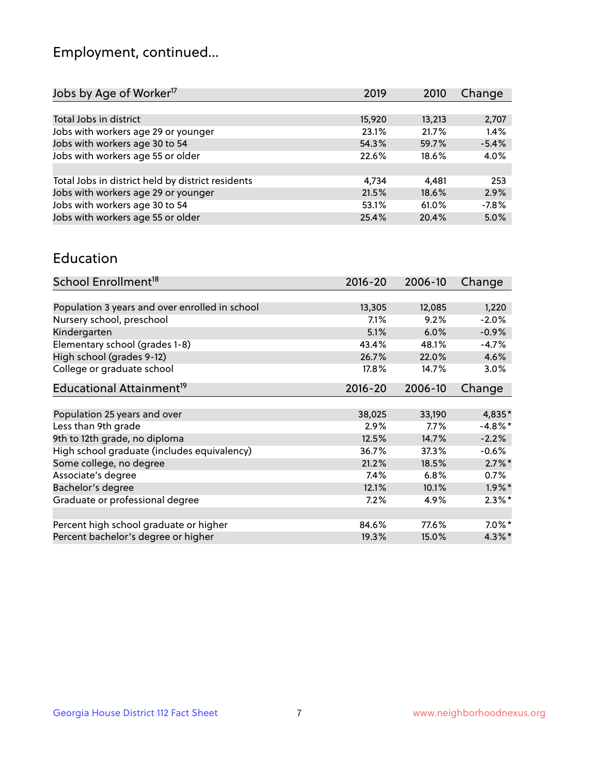## Employment, continued...

| Jobs by Age of Worker <sup>17</sup>               | 2019   | 2010   | Change  |
|---------------------------------------------------|--------|--------|---------|
|                                                   |        |        |         |
| Total Jobs in district                            | 15,920 | 13,213 | 2,707   |
| Jobs with workers age 29 or younger               | 23.1%  | 21.7%  | 1.4%    |
| Jobs with workers age 30 to 54                    | 54.3%  | 59.7%  | $-5.4%$ |
| Jobs with workers age 55 or older                 | 22.6%  | 18.6%  | 4.0%    |
|                                                   |        |        |         |
| Total Jobs in district held by district residents | 4,734  | 4,481  | 253     |
| Jobs with workers age 29 or younger               | 21.5%  | 18.6%  | 2.9%    |
| Jobs with workers age 30 to 54                    | 53.1%  | 61.0%  | $-7.8%$ |
| Jobs with workers age 55 or older                 | 25.4%  | 20.4%  | 5.0%    |

#### Education

| School Enrollment <sup>18</sup>                | $2016 - 20$ | 2006-10 | Change     |
|------------------------------------------------|-------------|---------|------------|
|                                                |             |         |            |
| Population 3 years and over enrolled in school | 13,305      | 12,085  | 1,220      |
| Nursery school, preschool                      | 7.1%        | 9.2%    | $-2.0%$    |
| Kindergarten                                   | 5.1%        | 6.0%    | $-0.9%$    |
| Elementary school (grades 1-8)                 | 43.4%       | 48.1%   | $-4.7%$    |
| High school (grades 9-12)                      | 26.7%       | 22.0%   | 4.6%       |
| College or graduate school                     | 17.8%       | 14.7%   | 3.0%       |
| Educational Attainment <sup>19</sup>           | $2016 - 20$ | 2006-10 | Change     |
|                                                |             |         |            |
| Population 25 years and over                   | 38,025      | 33,190  | 4,835*     |
| Less than 9th grade                            | 2.9%        | $7.7\%$ | $-4.8\%$ * |
| 9th to 12th grade, no diploma                  | 12.5%       | 14.7%   | $-2.2%$    |
| High school graduate (includes equivalency)    | 36.7%       | 37.3%   | $-0.6\%$   |
| Some college, no degree                        | 21.2%       | 18.5%   | $2.7\%$ *  |
| Associate's degree                             | 7.4%        | 6.8%    | 0.7%       |
| Bachelor's degree                              | 12.1%       | 10.1%   | $1.9\%$ *  |
| Graduate or professional degree                | 7.2%        | 4.9%    | $2.3\%$ *  |
|                                                |             |         |            |
| Percent high school graduate or higher         | 84.6%       | 77.6%   | $7.0\%$ *  |
| Percent bachelor's degree or higher            | 19.3%       | 15.0%   | 4.3%*      |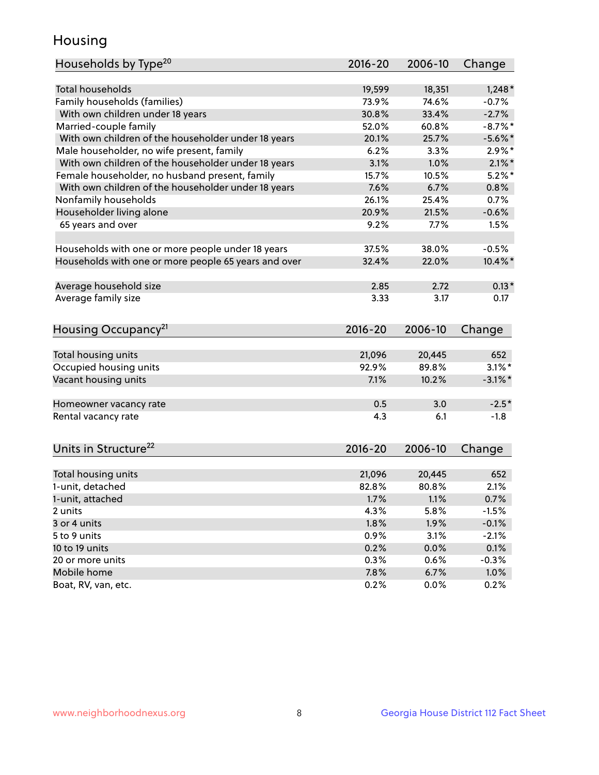## Housing

| Households by Type <sup>20</sup>                     | 2016-20 | 2006-10 | Change     |
|------------------------------------------------------|---------|---------|------------|
|                                                      |         |         |            |
| <b>Total households</b>                              | 19,599  | 18,351  | $1,248*$   |
| Family households (families)                         | 73.9%   | 74.6%   | $-0.7%$    |
| With own children under 18 years                     | 30.8%   | 33.4%   | $-2.7%$    |
| Married-couple family                                | 52.0%   | 60.8%   | $-8.7\%$ * |
| With own children of the householder under 18 years  | 20.1%   | 25.7%   | $-5.6\%$ * |
| Male householder, no wife present, family            | 6.2%    | 3.3%    | $2.9\%$ *  |
| With own children of the householder under 18 years  | 3.1%    | 1.0%    | $2.1\%$ *  |
| Female householder, no husband present, family       | 15.7%   | 10.5%   | $5.2\%$ *  |
| With own children of the householder under 18 years  | 7.6%    | 6.7%    | 0.8%       |
| Nonfamily households                                 | 26.1%   | 25.4%   | 0.7%       |
| Householder living alone                             | 20.9%   | 21.5%   | $-0.6%$    |
| 65 years and over                                    | 9.2%    | 7.7%    | 1.5%       |
|                                                      |         |         |            |
| Households with one or more people under 18 years    | 37.5%   | 38.0%   | $-0.5%$    |
| Households with one or more people 65 years and over | 32.4%   | 22.0%   | $10.4\%$ * |
|                                                      |         |         |            |
| Average household size                               | 2.85    | 2.72    | $0.13*$    |
| Average family size                                  | 3.33    | 3.17    | 0.17       |
|                                                      |         |         |            |
| Housing Occupancy <sup>21</sup>                      | 2016-20 | 2006-10 | Change     |
|                                                      |         |         |            |
| Total housing units                                  | 21,096  | 20,445  | 652        |
| Occupied housing units                               | 92.9%   | 89.8%   | $3.1\%$ *  |
| Vacant housing units                                 | 7.1%    | 10.2%   | $-3.1\%$ * |
|                                                      |         |         |            |
| Homeowner vacancy rate                               | 0.5     | 3.0     | $-2.5*$    |
| Rental vacancy rate                                  | 4.3     | 6.1     | $-1.8$     |
|                                                      |         |         |            |
| Units in Structure <sup>22</sup>                     | 2016-20 | 2006-10 | Change     |
|                                                      |         |         |            |
| Total housing units                                  | 21,096  | 20,445  | 652        |
| 1-unit, detached                                     | 82.8%   | 80.8%   | 2.1%       |
| 1-unit, attached                                     | 1.7%    | 1.1%    | 0.7%       |
| 2 units                                              | 4.3%    | 5.8%    | $-1.5%$    |
| 3 or 4 units                                         | 1.8%    | 1.9%    | $-0.1%$    |
| 5 to 9 units                                         | 0.9%    | 3.1%    | $-2.1%$    |
| 10 to 19 units                                       | 0.2%    | 0.0%    | 0.1%       |
| 20 or more units                                     | 0.3%    | 0.6%    | $-0.3%$    |
| Mobile home                                          | 7.8%    | 6.7%    | 1.0%       |
| Boat, RV, van, etc.                                  | 0.2%    | 0.0%    | 0.2%       |
|                                                      |         |         |            |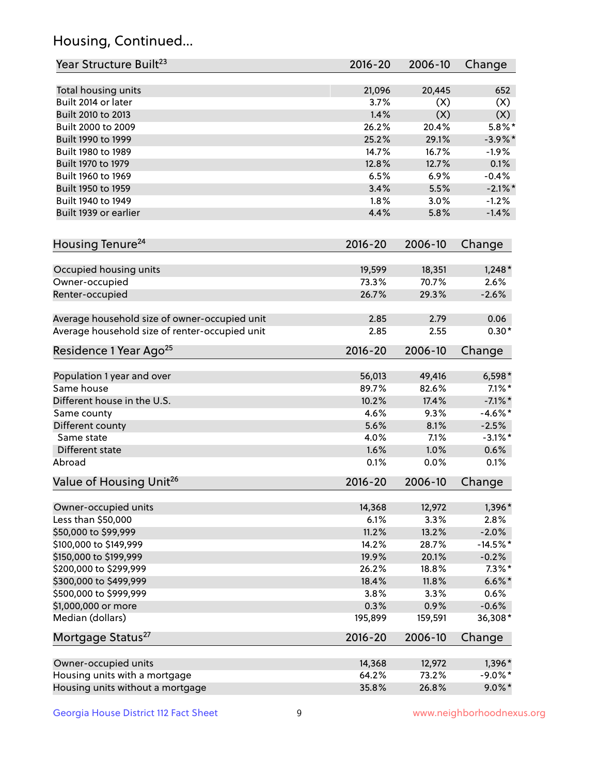## Housing, Continued...

| Year Structure Built <sup>23</sup>             | 2016-20     | 2006-10 | Change     |
|------------------------------------------------|-------------|---------|------------|
| Total housing units                            | 21,096      | 20,445  | 652        |
| Built 2014 or later                            | 3.7%        | (X)     | (X)        |
| Built 2010 to 2013                             | 1.4%        | (X)     | (X)        |
| Built 2000 to 2009                             | 26.2%       | 20.4%   | $5.8\%$ *  |
| Built 1990 to 1999                             | 25.2%       | 29.1%   | $-3.9\%$ * |
| Built 1980 to 1989                             | 14.7%       | 16.7%   | $-1.9%$    |
| Built 1970 to 1979                             | 12.8%       | 12.7%   | 0.1%       |
| Built 1960 to 1969                             | 6.5%        | 6.9%    | $-0.4%$    |
| Built 1950 to 1959                             | 3.4%        | 5.5%    | $-2.1\%$ * |
| Built 1940 to 1949                             | 1.8%        | 3.0%    | $-1.2%$    |
| Built 1939 or earlier                          | 4.4%        | 5.8%    | $-1.4%$    |
| Housing Tenure <sup>24</sup>                   | $2016 - 20$ | 2006-10 | Change     |
| Occupied housing units                         | 19,599      | 18,351  | $1,248*$   |
| Owner-occupied                                 | 73.3%       | 70.7%   | 2.6%       |
| Renter-occupied                                | 26.7%       | 29.3%   | $-2.6%$    |
| Average household size of owner-occupied unit  | 2.85        | 2.79    | 0.06       |
| Average household size of renter-occupied unit | 2.85        | 2.55    | $0.30*$    |
| Residence 1 Year Ago <sup>25</sup>             | 2016-20     | 2006-10 | Change     |
| Population 1 year and over                     | 56,013      | 49,416  | $6,598*$   |
| Same house                                     | 89.7%       | 82.6%   | $7.1\%$ *  |
| Different house in the U.S.                    | 10.2%       | 17.4%   | $-7.1\%$ * |
| Same county                                    | 4.6%        | 9.3%    | $-4.6\%$ * |
| Different county                               | 5.6%        | 8.1%    | $-2.5%$    |
| Same state                                     | 4.0%        | 7.1%    | $-3.1\%$ * |
| Different state                                | 1.6%        | 1.0%    | 0.6%       |
| Abroad                                         | 0.1%        | 0.0%    | 0.1%       |
| Value of Housing Unit <sup>26</sup>            | $2016 - 20$ | 2006-10 | Change     |
| Owner-occupied units                           | 14,368      | 12,972  | 1,396*     |
| Less than \$50,000                             | 6.1%        | 3.3%    | 2.8%       |
| \$50,000 to \$99,999                           | 11.2%       | 13.2%   | $-2.0%$    |
| \$100,000 to \$149,999                         | 14.2%       | 28.7%   | $-14.5%$ * |
| \$150,000 to \$199,999                         | 19.9%       | 20.1%   | $-0.2%$    |
| \$200,000 to \$299,999                         | 26.2%       | 18.8%   | $7.3\%$ *  |
| \$300,000 to \$499,999                         | 18.4%       | 11.8%   | $6.6\% *$  |
| \$500,000 to \$999,999                         | 3.8%        | 3.3%    | 0.6%       |
| \$1,000,000 or more                            | 0.3%        | 0.9%    | $-0.6%$    |
| Median (dollars)                               | 195,899     | 159,591 | 36,308*    |
| Mortgage Status <sup>27</sup>                  | $2016 - 20$ | 2006-10 | Change     |
| Owner-occupied units                           | 14,368      | 12,972  | 1,396*     |
| Housing units with a mortgage                  | 64.2%       | 73.2%   | $-9.0\%$ * |
| Housing units without a mortgage               | 35.8%       | 26.8%   | $9.0\%$ *  |
|                                                |             |         |            |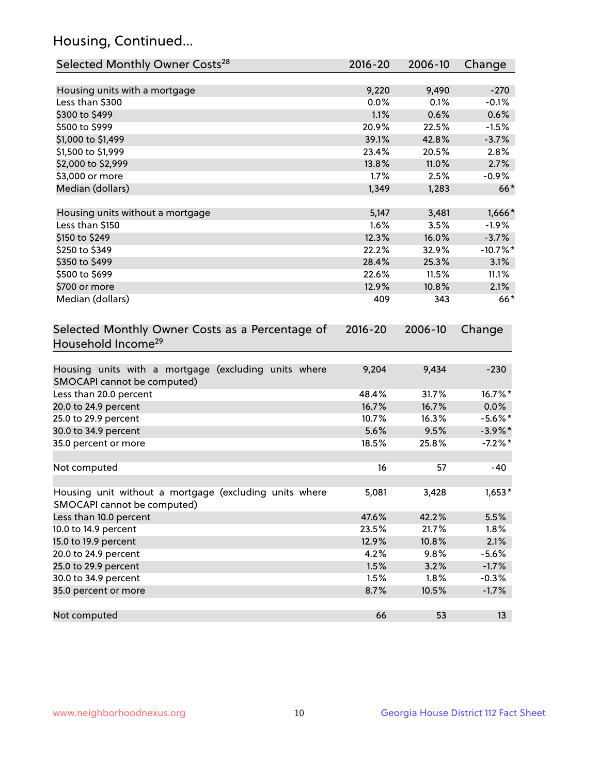## Housing, Continued...

| Selected Monthly Owner Costs <sup>28</sup>                                            | 2016-20 | 2006-10 | Change     |
|---------------------------------------------------------------------------------------|---------|---------|------------|
| Housing units with a mortgage                                                         | 9,220   | 9,490   | $-270$     |
| Less than \$300                                                                       | 0.0%    | 0.1%    | $-0.1%$    |
| \$300 to \$499                                                                        | 1.1%    | 0.6%    | 0.6%       |
| \$500 to \$999                                                                        | 20.9%   | 22.5%   | $-1.5%$    |
| \$1,000 to \$1,499                                                                    | 39.1%   | 42.8%   | $-3.7%$    |
| \$1,500 to \$1,999                                                                    | 23.4%   | 20.5%   | 2.8%       |
| \$2,000 to \$2,999                                                                    | 13.8%   | 11.0%   | 2.7%       |
| \$3,000 or more                                                                       | 1.7%    | 2.5%    | $-0.9%$    |
| Median (dollars)                                                                      | 1,349   | 1,283   | $66*$      |
| Housing units without a mortgage                                                      | 5,147   | 3,481   | $1,666*$   |
| Less than \$150                                                                       | 1.6%    | 3.5%    | $-1.9%$    |
| \$150 to \$249                                                                        | 12.3%   | 16.0%   | $-3.7%$    |
| \$250 to \$349                                                                        | 22.2%   | 32.9%   | $-10.7%$ * |
| \$350 to \$499                                                                        | 28.4%   | 25.3%   | 3.1%       |
| \$500 to \$699                                                                        | 22.6%   | 11.5%   | 11.1%      |
| \$700 or more                                                                         | 12.9%   | 10.8%   | 2.1%       |
| Median (dollars)                                                                      | 409     | 343     | $66*$      |
| Household Income <sup>29</sup>                                                        |         |         |            |
| Housing units with a mortgage (excluding units where<br>SMOCAPI cannot be computed)   | 9,204   | 9,434   | $-230$     |
| Less than 20.0 percent                                                                | 48.4%   | 31.7%   | 16.7%*     |
| 20.0 to 24.9 percent                                                                  | 16.7%   | 16.7%   | $0.0\%$    |
| 25.0 to 29.9 percent                                                                  | 10.7%   | 16.3%   | $-5.6\%$ * |
| 30.0 to 34.9 percent                                                                  | 5.6%    | 9.5%    | $-3.9\%$ * |
| 35.0 percent or more                                                                  | 18.5%   | 25.8%   | $-7.2%$ *  |
| Not computed                                                                          | 16      | 57      | $-40$      |
| Housing unit without a mortgage (excluding units where<br>SMOCAPI cannot be computed) | 5,081   | 3,428   | $1,653*$   |
| Less than 10.0 percent                                                                | 47.6%   | 42.2%   | 5.5%       |
| 10.0 to 14.9 percent                                                                  | 23.5%   | 21.7%   | 1.8%       |
| 15.0 to 19.9 percent                                                                  | 12.9%   | 10.8%   | 2.1%       |
| 20.0 to 24.9 percent                                                                  | 4.2%    | 9.8%    | $-5.6%$    |
| 25.0 to 29.9 percent                                                                  | 1.5%    | 3.2%    | $-1.7%$    |
| 30.0 to 34.9 percent                                                                  | 1.5%    | 1.8%    | $-0.3%$    |
| 35.0 percent or more                                                                  | 8.7%    | 10.5%   | $-1.7%$    |
| Not computed                                                                          | 66      | 53      | 13         |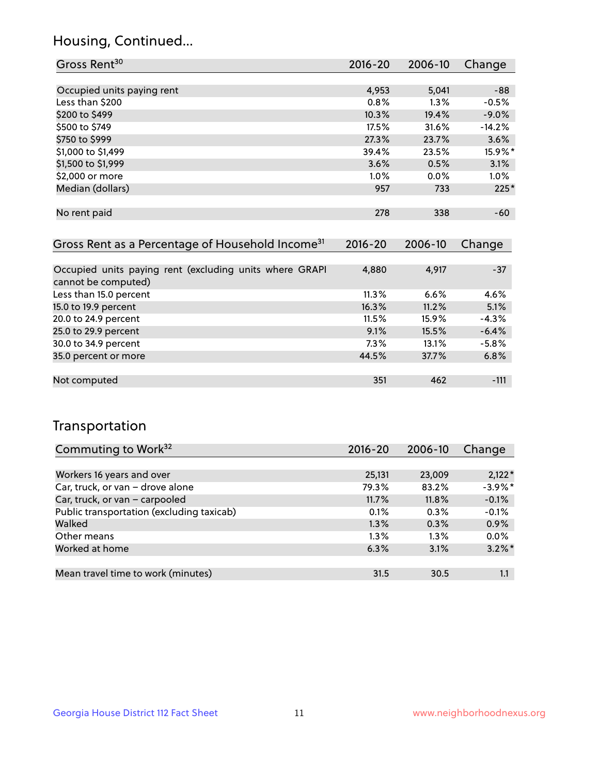## Housing, Continued...

| Gross Rent <sup>30</sup>   | 2016-20 | 2006-10 | Change   |
|----------------------------|---------|---------|----------|
|                            |         |         |          |
| Occupied units paying rent | 4,953   | 5,041   | $-88$    |
| Less than \$200            | 0.8%    | $1.3\%$ | $-0.5%$  |
| \$200 to \$499             | 10.3%   | 19.4%   | $-9.0%$  |
| \$500 to \$749             | 17.5%   | 31.6%   | $-14.2%$ |
| \$750 to \$999             | 27.3%   | 23.7%   | 3.6%     |
| \$1,000 to \$1,499         | 39.4%   | 23.5%   | 15.9%*   |
| \$1,500 to \$1,999         | 3.6%    | 0.5%    | 3.1%     |
| \$2,000 or more            | $1.0\%$ | $0.0\%$ | 1.0%     |
| Median (dollars)           | 957     | 733     | $225*$   |
|                            |         |         |          |
| No rent paid               | 278     | 338     | $-60$    |

| Gross Rent as a Percentage of Household Income <sup>31</sup>                   | $2016 - 20$ | 2006-10 | Change  |
|--------------------------------------------------------------------------------|-------------|---------|---------|
|                                                                                |             |         |         |
| Occupied units paying rent (excluding units where GRAPI<br>cannot be computed) | 4,880       | 4,917   | $-37$   |
| Less than 15.0 percent                                                         | 11.3%       | 6.6%    | 4.6%    |
| 15.0 to 19.9 percent                                                           | 16.3%       | 11.2%   | 5.1%    |
| 20.0 to 24.9 percent                                                           | 11.5%       | 15.9%   | $-4.3%$ |
| 25.0 to 29.9 percent                                                           | 9.1%        | 15.5%   | $-6.4%$ |
| 30.0 to 34.9 percent                                                           | 7.3%        | 13.1%   | $-5.8%$ |
| 35.0 percent or more                                                           | 44.5%       | 37.7%   | 6.8%    |
|                                                                                |             |         |         |
| Not computed                                                                   | 351         | 462     | $-111$  |

## Transportation

| Commuting to Work <sup>32</sup>           | 2016-20 | 2006-10 | Change     |
|-------------------------------------------|---------|---------|------------|
|                                           |         |         |            |
| Workers 16 years and over                 | 25,131  | 23,009  | $2,122*$   |
| Car, truck, or van - drove alone          | 79.3%   | 83.2%   | $-3.9\%$ * |
| Car, truck, or van - carpooled            | 11.7%   | 11.8%   | $-0.1%$    |
| Public transportation (excluding taxicab) | 0.1%    | 0.3%    | $-0.1%$    |
| Walked                                    | 1.3%    | 0.3%    | 0.9%       |
| Other means                               | $1.3\%$ | $1.3\%$ | 0.0%       |
| Worked at home                            | 6.3%    | 3.1%    | $3.2\%$ *  |
|                                           |         |         |            |
| Mean travel time to work (minutes)        | 31.5    | 30.5    | 1.1        |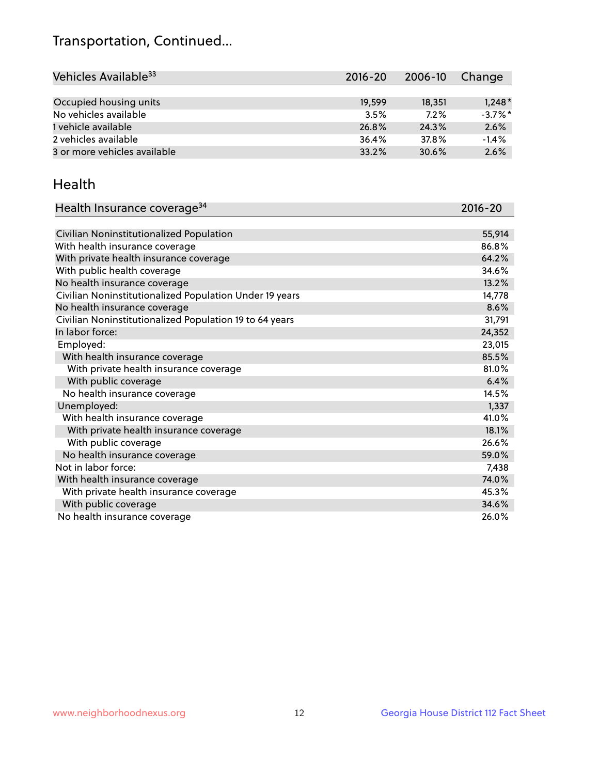## Transportation, Continued...

| Vehicles Available <sup>33</sup> | $2016 - 20$ | 2006-10 | Change     |
|----------------------------------|-------------|---------|------------|
|                                  |             |         |            |
| Occupied housing units           | 19,599      | 18,351  | $1,248*$   |
| No vehicles available            | 3.5%        | 7.2%    | $-3.7\%$ * |
| 1 vehicle available              | 26.8%       | 24.3%   | 2.6%       |
| 2 vehicles available             | 36.4%       | 37.8%   | $-1.4%$    |
| 3 or more vehicles available     | 33.2%       | 30.6%   | 2.6%       |

#### Health

| Health Insurance coverage <sup>34</sup>                 | 2016-20 |
|---------------------------------------------------------|---------|
|                                                         |         |
| Civilian Noninstitutionalized Population                | 55,914  |
| With health insurance coverage                          | 86.8%   |
| With private health insurance coverage                  | 64.2%   |
| With public health coverage                             | 34.6%   |
| No health insurance coverage                            | 13.2%   |
| Civilian Noninstitutionalized Population Under 19 years | 14,778  |
| No health insurance coverage                            | 8.6%    |
| Civilian Noninstitutionalized Population 19 to 64 years | 31,791  |
| In labor force:                                         | 24,352  |
| Employed:                                               | 23,015  |
| With health insurance coverage                          | 85.5%   |
| With private health insurance coverage                  | 81.0%   |
| With public coverage                                    | 6.4%    |
| No health insurance coverage                            | 14.5%   |
| Unemployed:                                             | 1,337   |
| With health insurance coverage                          | 41.0%   |
| With private health insurance coverage                  | 18.1%   |
| With public coverage                                    | 26.6%   |
| No health insurance coverage                            | 59.0%   |
| Not in labor force:                                     | 7,438   |
| With health insurance coverage                          | 74.0%   |
| With private health insurance coverage                  | 45.3%   |
| With public coverage                                    | 34.6%   |
| No health insurance coverage                            | 26.0%   |